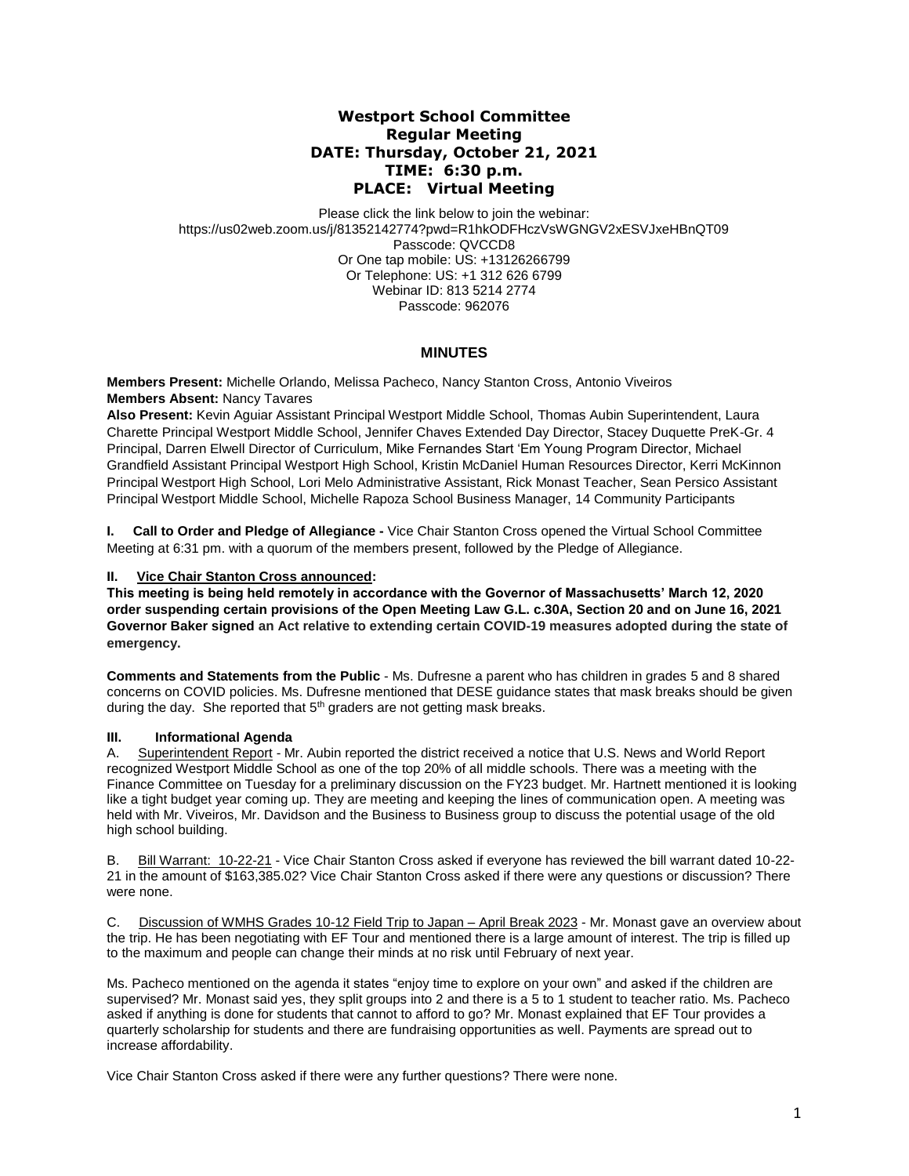# **Westport School Committee Regular Meeting DATE: Thursday, October 21, 2021 TIME: 6:30 p.m. PLACE: Virtual Meeting**

Please click the link below to join the webinar: https://us02web.zoom.us/j/81352142774?pwd=R1hkODFHczVsWGNGV2xESVJxeHBnQT09 Passcode: QVCCD8 Or One tap mobile: US: +13126266799 Or Telephone: US: +1 312 626 6799 Webinar ID: 813 5214 2774 Passcode: 962076

# **MINUTES**

**Members Present:** Michelle Orlando, Melissa Pacheco, Nancy Stanton Cross, Antonio Viveiros **Members Absent:** Nancy Tavares

**Also Present:** Kevin Aguiar Assistant Principal Westport Middle School, Thomas Aubin Superintendent, Laura Charette Principal Westport Middle School, Jennifer Chaves Extended Day Director, Stacey Duquette PreK-Gr. 4 Principal, Darren Elwell Director of Curriculum, Mike Fernandes Start 'Em Young Program Director, Michael Grandfield Assistant Principal Westport High School, Kristin McDaniel Human Resources Director, Kerri McKinnon Principal Westport High School, Lori Melo Administrative Assistant, Rick Monast Teacher, Sean Persico Assistant Principal Westport Middle School, Michelle Rapoza School Business Manager, 14 Community Participants

**I. Call to Order and Pledge of Allegiance -** Vice Chair Stanton Cross opened the Virtual School Committee Meeting at 6:31 pm. with a quorum of the members present, followed by the Pledge of Allegiance.

## **II. Vice Chair Stanton Cross announced:**

**This meeting is being held remotely in accordance with the Governor of Massachusetts' March 12, 2020 order suspending certain provisions of the Open Meeting Law G.L. c.30A, Section 20 and on June 16, 2021 Governor Baker signed an Act relative to extending certain COVID-19 measures adopted during the state of emergency.**

**Comments and Statements from the Public** - Ms. Dufresne a parent who has children in grades 5 and 8 shared concerns on COVID policies. Ms. Dufresne mentioned that DESE guidance states that mask breaks should be given during the day. She reported that  $5<sup>th</sup>$  graders are not getting mask breaks.

## **III. Informational Agenda**

A. Superintendent Report - Mr. Aubin reported the district received a notice that U.S. News and World Report recognized Westport Middle School as one of the top 20% of all middle schools. There was a meeting with the Finance Committee on Tuesday for a preliminary discussion on the FY23 budget. Mr. Hartnett mentioned it is looking like a tight budget year coming up. They are meeting and keeping the lines of communication open. A meeting was held with Mr. Viveiros, Mr. Davidson and the Business to Business group to discuss the potential usage of the old high school building.

B. Bill Warrant: 10-22-21 - Vice Chair Stanton Cross asked if everyone has reviewed the bill warrant dated 10-22- 21 in the amount of \$163,385.02? Vice Chair Stanton Cross asked if there were any questions or discussion? There were none.

C. Discussion of WMHS Grades 10-12 Field Trip to Japan – April Break 2023 - Mr. Monast gave an overview about the trip. He has been negotiating with EF Tour and mentioned there is a large amount of interest. The trip is filled up to the maximum and people can change their minds at no risk until February of next year.

Ms. Pacheco mentioned on the agenda it states "enjoy time to explore on your own" and asked if the children are supervised? Mr. Monast said yes, they split groups into 2 and there is a 5 to 1 student to teacher ratio. Ms. Pacheco asked if anything is done for students that cannot to afford to go? Mr. Monast explained that EF Tour provides a quarterly scholarship for students and there are fundraising opportunities as well. Payments are spread out to increase affordability.

Vice Chair Stanton Cross asked if there were any further questions? There were none.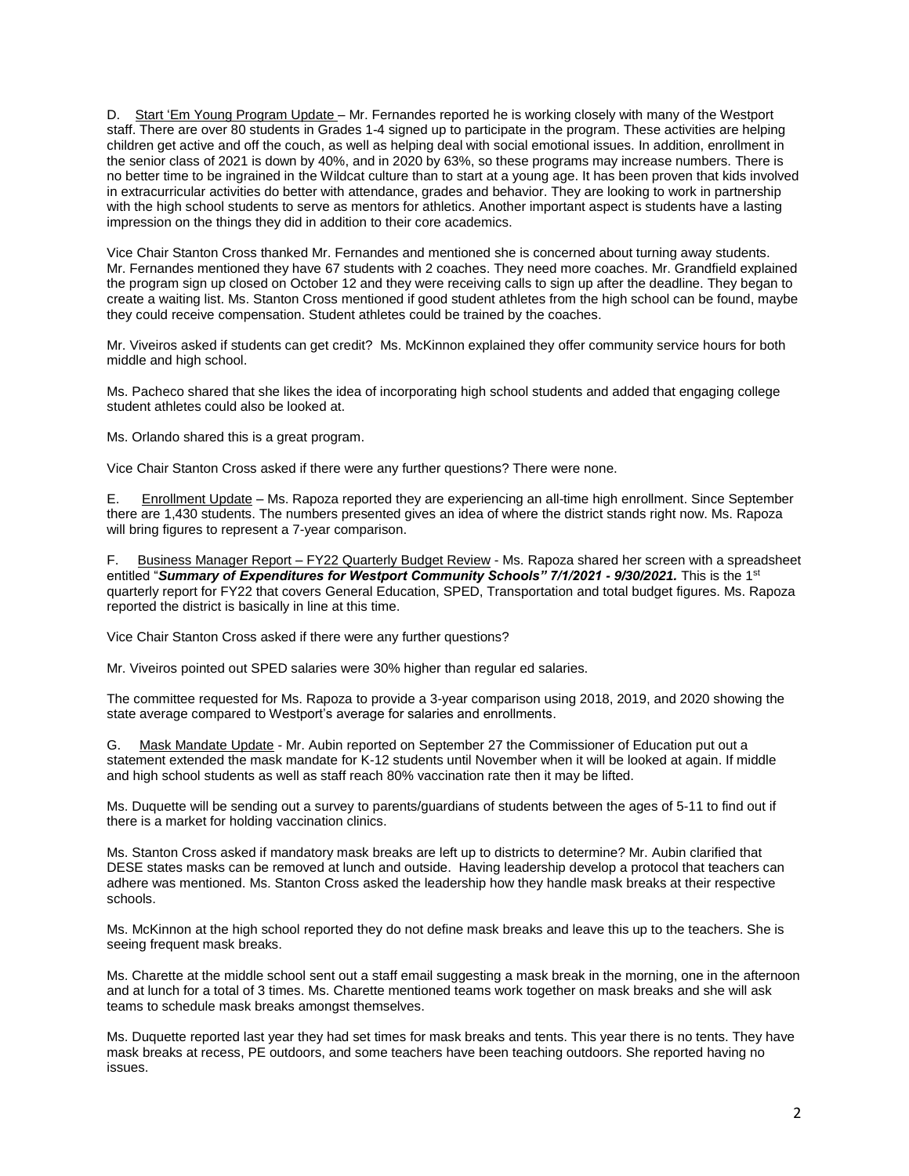D. Start 'Em Young Program Update – Mr. Fernandes reported he is working closely with many of the Westport staff. There are over 80 students in Grades 1-4 signed up to participate in the program. These activities are helping children get active and off the couch, as well as helping deal with social emotional issues. In addition, enrollment in the senior class of 2021 is down by 40%, and in 2020 by 63%, so these programs may increase numbers. There is no better time to be ingrained in the Wildcat culture than to start at a young age. It has been proven that kids involved in extracurricular activities do better with attendance, grades and behavior. They are looking to work in partnership with the high school students to serve as mentors for athletics. Another important aspect is students have a lasting impression on the things they did in addition to their core academics.

Vice Chair Stanton Cross thanked Mr. Fernandes and mentioned she is concerned about turning away students. Mr. Fernandes mentioned they have 67 students with 2 coaches. They need more coaches. Mr. Grandfield explained the program sign up closed on October 12 and they were receiving calls to sign up after the deadline. They began to create a waiting list. Ms. Stanton Cross mentioned if good student athletes from the high school can be found, maybe they could receive compensation. Student athletes could be trained by the coaches.

Mr. Viveiros asked if students can get credit? Ms. McKinnon explained they offer community service hours for both middle and high school.

Ms. Pacheco shared that she likes the idea of incorporating high school students and added that engaging college student athletes could also be looked at.

Ms. Orlando shared this is a great program.

Vice Chair Stanton Cross asked if there were any further questions? There were none.

E. Enrollment Update – Ms. Rapoza reported they are experiencing an all-time high enrollment. Since September there are 1,430 students. The numbers presented gives an idea of where the district stands right now. Ms. Rapoza will bring figures to represent a 7-year comparison.

F. Business Manager Report – FY22 Quarterly Budget Review - Ms. Rapoza shared her screen with a spreadsheet entitled "*Summary of Expenditures for Westport Community Schools" 7/1/2021 - 9/30/2021.* This is the 1st quarterly report for FY22 that covers General Education, SPED, Transportation and total budget figures. Ms. Rapoza reported the district is basically in line at this time.

Vice Chair Stanton Cross asked if there were any further questions?

Mr. Viveiros pointed out SPED salaries were 30% higher than regular ed salaries.

The committee requested for Ms. Rapoza to provide a 3-year comparison using 2018, 2019, and 2020 showing the state average compared to Westport's average for salaries and enrollments.

G. Mask Mandate Update - Mr. Aubin reported on September 27 the Commissioner of Education put out a statement extended the mask mandate for K-12 students until November when it will be looked at again. If middle and high school students as well as staff reach 80% vaccination rate then it may be lifted.

Ms. Duquette will be sending out a survey to parents/guardians of students between the ages of 5-11 to find out if there is a market for holding vaccination clinics.

Ms. Stanton Cross asked if mandatory mask breaks are left up to districts to determine? Mr. Aubin clarified that DESE states masks can be removed at lunch and outside. Having leadership develop a protocol that teachers can adhere was mentioned. Ms. Stanton Cross asked the leadership how they handle mask breaks at their respective schools.

Ms. McKinnon at the high school reported they do not define mask breaks and leave this up to the teachers. She is seeing frequent mask breaks.

Ms. Charette at the middle school sent out a staff email suggesting a mask break in the morning, one in the afternoon and at lunch for a total of 3 times. Ms. Charette mentioned teams work together on mask breaks and she will ask teams to schedule mask breaks amongst themselves.

Ms. Duquette reported last year they had set times for mask breaks and tents. This year there is no tents. They have mask breaks at recess, PE outdoors, and some teachers have been teaching outdoors. She reported having no issues.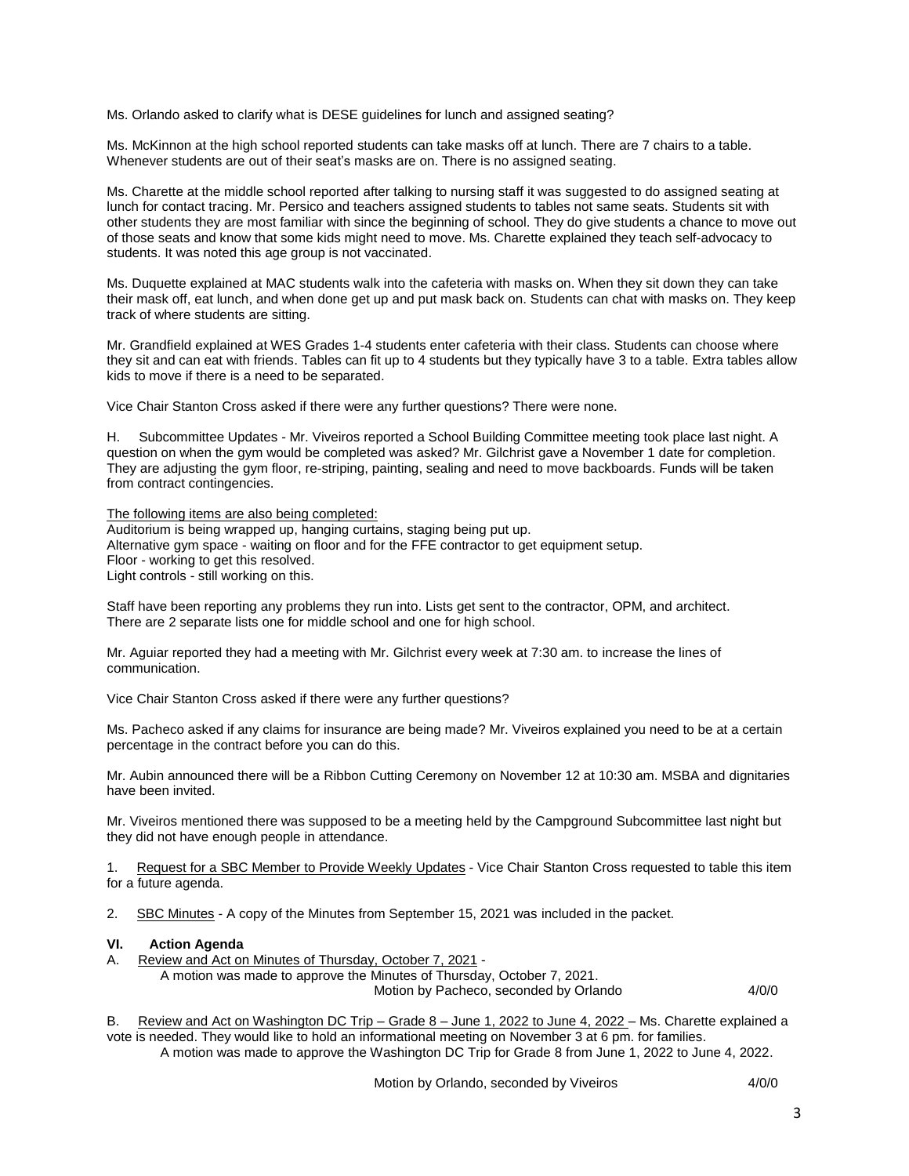Ms. Orlando asked to clarify what is DESE guidelines for lunch and assigned seating?

Ms. McKinnon at the high school reported students can take masks off at lunch. There are 7 chairs to a table. Whenever students are out of their seat's masks are on. There is no assigned seating.

Ms. Charette at the middle school reported after talking to nursing staff it was suggested to do assigned seating at lunch for contact tracing. Mr. Persico and teachers assigned students to tables not same seats. Students sit with other students they are most familiar with since the beginning of school. They do give students a chance to move out of those seats and know that some kids might need to move. Ms. Charette explained they teach self-advocacy to students. It was noted this age group is not vaccinated.

Ms. Duquette explained at MAC students walk into the cafeteria with masks on. When they sit down they can take their mask off, eat lunch, and when done get up and put mask back on. Students can chat with masks on. They keep track of where students are sitting.

Mr. Grandfield explained at WES Grades 1-4 students enter cafeteria with their class. Students can choose where they sit and can eat with friends. Tables can fit up to 4 students but they typically have 3 to a table. Extra tables allow kids to move if there is a need to be separated.

Vice Chair Stanton Cross asked if there were any further questions? There were none.

H. Subcommittee Updates - Mr. Viveiros reported a School Building Committee meeting took place last night. A question on when the gym would be completed was asked? Mr. Gilchrist gave a November 1 date for completion. They are adjusting the gym floor, re-striping, painting, sealing and need to move backboards. Funds will be taken from contract contingencies.

The following items are also being completed: Auditorium is being wrapped up, hanging curtains, staging being put up. Alternative gym space - waiting on floor and for the FFE contractor to get equipment setup. Floor - working to get this resolved. Light controls - still working on this.

Staff have been reporting any problems they run into. Lists get sent to the contractor, OPM, and architect. There are 2 separate lists one for middle school and one for high school.

Mr. Aguiar reported they had a meeting with Mr. Gilchrist every week at 7:30 am. to increase the lines of communication.

Vice Chair Stanton Cross asked if there were any further questions?

Ms. Pacheco asked if any claims for insurance are being made? Mr. Viveiros explained you need to be at a certain percentage in the contract before you can do this.

Mr. Aubin announced there will be a Ribbon Cutting Ceremony on November 12 at 10:30 am. MSBA and dignitaries have been invited.

Mr. Viveiros mentioned there was supposed to be a meeting held by the Campground Subcommittee last night but they did not have enough people in attendance.

1. Request for a SBC Member to Provide Weekly Updates - Vice Chair Stanton Cross requested to table this item for a future agenda.

2. SBC Minutes - A copy of the Minutes from September 15, 2021 was included in the packet.

#### **VI. Action Agenda**

A. Review and Act on Minutes of Thursday, October 7, 2021 -

A motion was made to approve the Minutes of Thursday, October 7, 2021. Motion by Pacheco, seconded by Orlando 4/0/0

B. Review and Act on Washington DC Trip – Grade 8 – June 1, 2022 to June 4, 2022 – Ms. Charette explained a vote is needed. They would like to hold an informational meeting on November 3 at 6 pm. for families. A motion was made to approve the Washington DC Trip for Grade 8 from June 1, 2022 to June 4, 2022.